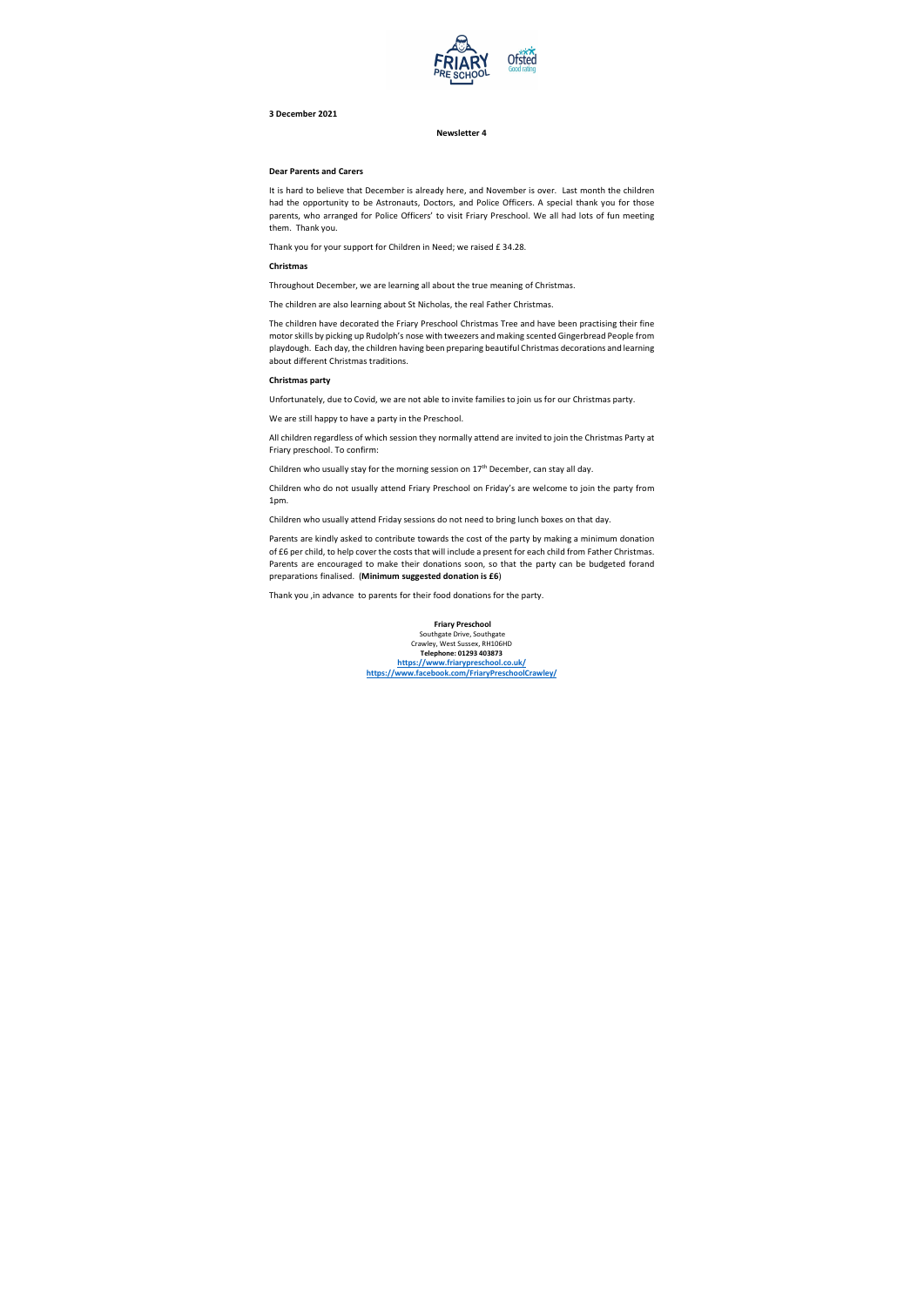

## **3 December 2021**

**Newsletter 4**

#### **Dear Parents and Carers**

It is hard to believe that December is already here, and November is over. Last month the children had the opportunity to be Astronauts, Doctors, and Police Officers. A special thank you for those parents, who arranged for Police Officers' to visit Friary Preschool. We all had lots of fun meeting them. Thank you.

Thank you for your support for Children in Need; we raised £ 34.28.

# **Christmas**

Throughout December, we are learning all about the true meaning of Christmas.

The children are also learning about St Nicholas, the real Father Christmas.

The children have decorated the Friary Preschool Christmas Tree and have been practising their fine motor skills by picking up Rudolph's nose with tweezers and making scented Gingerbread People from playdough. Each day, the children having been preparing beautiful Christmas decorations and learning about different Christmas traditions.

### **Christmas party**

Unfortunately, due to Covid, we are not able to invite families to join us for our Christmas party.

We are still happy to have a party in the Preschool.

All children regardless of which session they normally attend are invited to join the Christmas Party at Friary preschool. To confirm:

Children who usually stay for the morning session on 17<sup>th</sup> December, can stay all day.

Children who do not usually attend Friary Preschool on Friday's are welcome to join the party from 1pm.

Children who usually attend Friday sessions do not need to bring lunch boxes on that day.

Parents are kindly asked to contribute towards the cost of the party by making a minimum donation of £6 per child, to help cover the costs that will include a present for each child from Father Christmas. Parents are encouraged to make their donations soon, so that the party can be budgeted forand preparations finalised. (**Minimum suggested donation is £6**)

Thank you ,in advance to parents for their food donations for the party.

**Friary Preschool** Southgate Drive, Southgate<br>Crawley, West Sussex, RH106HD<br>**Telephone: 01293 403873**<br>https://www.friarypreschool.co.uk/<br>https://www.facebook.com/FriaryPreschoolCrawley/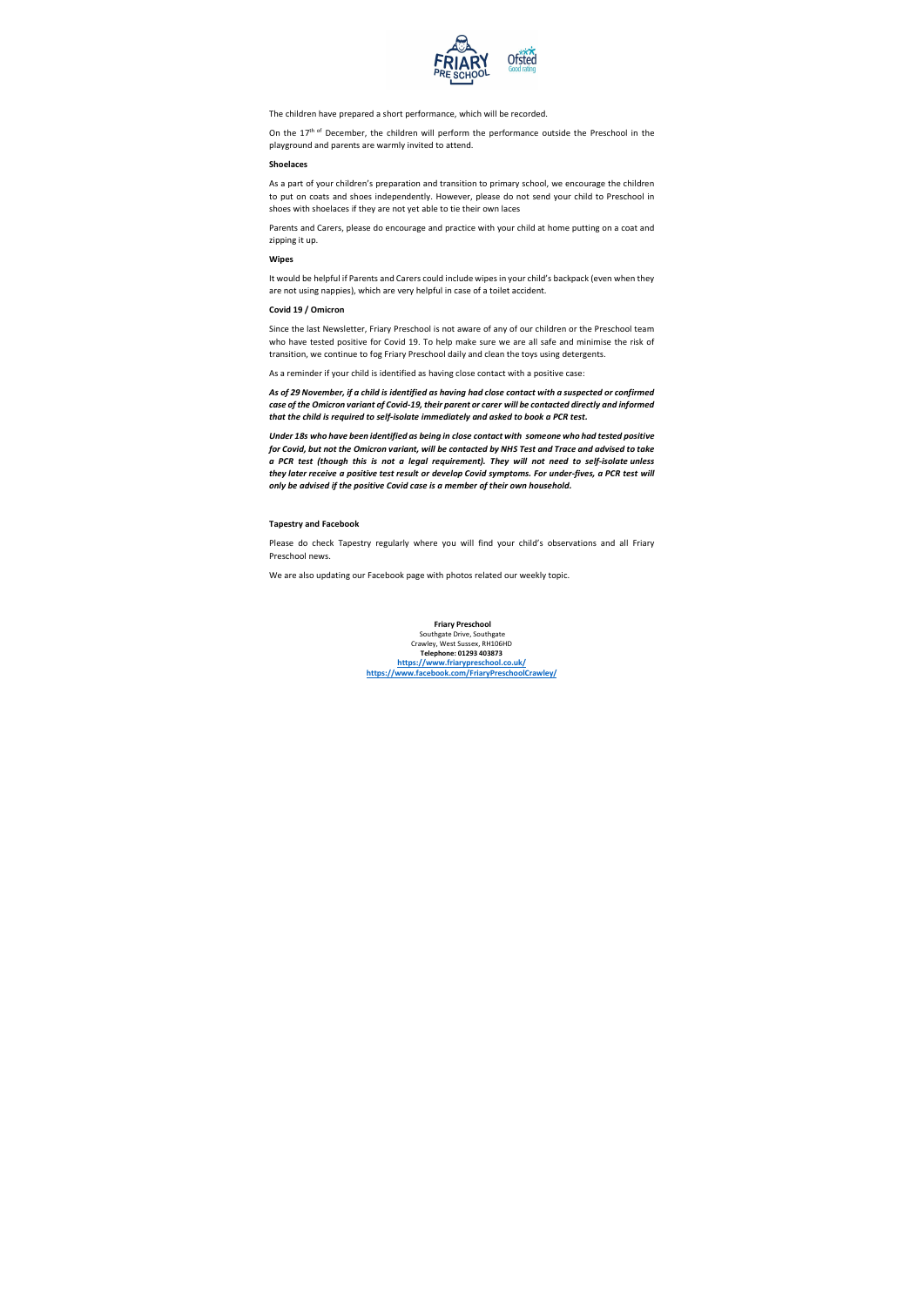

The children have prepared a short performance, which will be recorded.

On the 17<sup>th of</sup> December, the children will perform the performance outside the Preschool in the playground and parents are warmly invited to attend.

#### **Shoelaces**

As a part of your children's preparation and transition to primary school, we encourage the children to put on coats and shoes independently. However, please do not send your child to Preschool in shoes with shoelaces if they are not yet able to tie their own laces

Parents and Carers, please do encourage and practice with your child at home putting on a coat and zipping it up.

## **Wipes**

It would be helpful if Parents and Carers could include wipes in your child's backpack (even when they are not using nappies), which are very helpful in case of a toilet accident.

## **Covid 19 / Omicron**

Since the last Newsletter, Friary Preschool is not aware of any of our children or the Preschool team who have tested positive for Covid 19. To help make sure we are all safe and minimise the risk of transition, we continue to fog Friary Preschool daily and clean the toys using detergents.

As a reminder if your child is identified as having close contact with a positive case:

*As of 29 November, if a child is identified as having had close contact with a suspected or confirmed case of the Omicron variant of Covid-19, their parent or carer will be contacted directly and informed that the child is required to self-isolate immediately and asked to book a PCR test.*

*Under 18s who have been identified as being in close contact with someone who had tested positive for Covid, but not the Omicron variant, will be contacted by NHS Test and Trace and advised to take a PCR test (though this is not a legal requirement). They will not need to self-isolate unless they later receive a positive test result or develop Covid symptoms. For under-fives, a PCR test will only be advised if the positive Covid case is a member of their own household.*

#### **Tapestry and Facebook**

Please do check Tapestry regularly where you will find your child's observations and all Friary Preschool news.

We are also updating our Facebook page with photos related our weekly topic.

**Friary Preschool** Southgate Drive, Southgate Crawley, West Sussex, RH106HD **Telephone: 01293 403873 https://www.friarypreschool.co.uk/ https://www.facebook.com/FriaryPreschoolCrawley/**